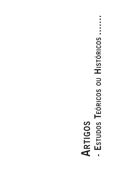# $\Box$ **- Estudos Teóricos ou Históricos .......** $\overline{\phantom{a}}$ J.  $\overline{\phantom{a}}$ - ESTUDOS TEÓRICOS OU HISTÓRICOS **Artigos**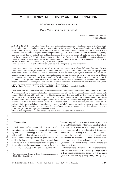# **Michel Henry: Affectivity and Hallucination1**

*Michel Henry: afetividade e alucinação*

*Michel Henry: afectividad y alucinación*

Andrés Eduardo Aguirre Antúnez Florinda Martins

**Abstract:** In this article, we show how Michel Henry takes hallucination as a paradigm of the phenomenality of life. According to him, the phenomenality of hallucination refers us to the affective life laid bare by the phenomenality of subjective life. And because the affective life is pure experience brought to existence from life through modes of hearing, vision, anxiety, fear, in it, hallucination, while phenomenon suspended in its own phenomenality, appears as a phenomenon that is exemplary of life, though experienced in a feeling of pure intolerability of this affective experience of life. However, it is from the experience of intolerability of the self-experience of life that one finds, inherent to the feeling of affection of life, the possibility of reverting suffering into fruition. We also show convergences between the phenomenality of the affective life and clinical, laboratorial or other practices, and their developments into interdisciplinarity in our research group.

**Keywords:** Experience of oneself; Hallucination; Unbearableness; Pure possibility; Interdisciplinarity.

**Resumo:** Neste artigo mostramos como é que Michel Henry toma a alucinação como paradigma da fenomenalidade da vida. Nele, a fenomenalidade da alucinação situa-nos na vida afetiva deixada a nu pela fenomenalidade da vida subjetiva. E porque a vida afetiva é vivência da pura vinda a si da vida nas modalidades da audição, da visão, da angústia, do temor, nela, a alucinação, enquanto fenômeno suspenso na sua própria fenomenalidade aparece como fenômeno exemplar da vida, ainda que vivido em sentimento de pura insuportabilidade dessa prova afetiva da vida. Todavia é a partir da experiência da insuportabilidade da prova de si da vida que se encontra, inerente ao sentimento da afeção da vida, a possibilidade de reversão do sofrimento em fruição. Mostramos ainda convergências entre a fenomenalidade da vida afetiva e práticas clínicas, laboratoriais ou outras, e seus desenvolvimentos em interdisciplinaridade no nosso grupo de investigação.

**Palavras-chave:** Prova de si; Alucinação; Insuportabilidade; Pura possibilidade; Interdisciplinaridade.

**Resumen:** En este artículo mostramos cómo Michel Henry toma la alucinación como paradigma de la fenomenicidad de la vida. De acuerdo con Henry, la fenomenicidad de la alucinación nos emplaza a la vida afectiva mostrada en su desnudez a través de la fenomenicidad de la vida subjetiva. Y dado que la vida afectiva es vivencia de la pura venida a sí de la vida en las modalidades de la audición, la visión, la angustia o el temor, en la alucinación, en cuanto fenómeno suspenso en su propia fenomenicidad, aparece como fenómeno ejemplar de la vida, aunque vivido en sentimiento de pura intolerancia de esa prueba afectiva de la vida. No obstante, es a partir de la experiencia de intolerancia de la prueba de sí de la vida como se encuentra, inherente al sentimiento de la afección de la vida, la posibilidad de reversión del sufrimiento en fruición. Mostramos por último algunas convergencias entre la fenomenicidad de la vida afectiva y las prácticas clínicas, de laboratorio o de otra naturaleza, y sus desarrollos en nuestro grupo de investigación desde una perspectiva multidisciplinar.

**Palabras clave:** Experiencia de sí; Alucinación; Intolerancia; Pura posibilidad; Interdisciplinariedad.

#### **1. The question**

With the title Affectivity and Hallucination, we will give voice to the interdisciplinary research field concerning both the phenomenology of life and health sciences, ratified by Michel Henry, in Porto, in 2001 (Henry, 2001). A validation that only appears at this point in his work and his life, because at this point there are conditions of possibility of a debate that goes beyond the pure and simple refutation of the causes and reasons of the opponent (Kant, 1781/1985), in this case, the cultural clash

between the paradigm of scientificity conveyed by sciences and that conveyed by the phenomenology of life. Now the actual experience that is brought, at this time, to debate and that ratifies interdisciplinarity is the experience of the insufficiency of a model of rationality that disregards the subjectivity phenomena. A model whose insufficiency the work of Michel Henry – his entire work – denounces; a model whose insufficiency is, also, recognized by those – scientists and clinicians – who follow it in their activities.

However, if subjectivity was at the center of the questions that, in the words of Michel Henry, brought together those whose investigation's purpose is *to bring a sick life back to power and joy of living* (Henry, 2001, p. 142),

Text presented in the Seminar of Centre d'éthique contemporaine, Montpellier, 3-9 April 2015.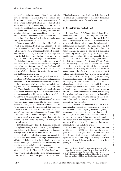today affectivity is at the center of that debate. Affectivity is the horizon of phenomenality opened and laid bare by subjectivity: phenomenality of the emergence of life in the living, in the words of science, or auto-affection of life, in the words of Michel Henry. In either case, it is the affection of life in the living that is, today, at the center of questions shared by science and philosophy. Both question what was culturally considered – and somehow still is – the specificity of our being and of our action: its unconditional freedom and with it the personal responsibility inherent in our actions.

Today, science and phenomenology of life lead us to question the spontaneity of the auto-affection of the life that we live in a body endowed with senses and its implications for our action, since action, human action, is also connected to the feeling of this auto-affection originated from life that, living, we are. Feeling at times quietly lived by us, at times abruptly interrupted by the affections of life that disturb not only the silence of the senses, but of the organs, as well as of the most recessed and forgotten parts of our being, impacting our life completely and with it our identity and singularity. Affections whose silence the so-called pathologies of life awaken, laying bare the life that the silences silenced.

It is in this context that we bring to debate the theme *affectivity and hallucination* so that, in it, we highlight the contributions of the phenomenality of life that are at stake in the research and clinical practices confronted, every day, with facts that challenge our beliefs and our mindsets. These facts lead us to think how humanization and dehumanization of the experience of oneself intersect in the phenomenality of life concerning the sense of affection of which hallucination is an example.

A theme that we will discuss having as reference two texts by Michel Henry, directed to the same audience – scientist-philosophers and therapists – showing their internal coherence and the dynamism of their questions. The texts to which we refer are *Les sciences et l'éthique* and *Eux en moi: une phénoménologie* (Henry, 1992). And we will present them in three points that articulate the phenomenality of subjectivity with that of affectivity and this with interdisciplinarity, in a course, in our research groups.

In the first point, we situate the theme presented here, in the phenomenality of pain and suffering while phenomena that refer to the domain of sensitivity and, therefore, of subjectivity. In the second point, we show that the phenomenality of pain and suffering refer from subjectivity to affectivity, inasmuch as all feeling is the feeling of an affection of life itself. And, in the third point, we present the intertwining of the phenomenology of affectivity with the life sciences, including clinical practices.

We will see that, in Michel Henry, the truth of hallucination is the truth of life and, therefore, based on its truth, we will seek solutions for its/our (de)humanization. Thus, we will continue this expression of Michel Henry: "Man begins where begins this living defined as experiencing oneself and ends where it ends. Now this domain of phenomenality is that of ethics" (Henry, 1992, p. 8).

### **2. Subjectivity and medical practice**

In *Les sciences et l'éthique* (1992), Michel Henry shows the importance of subjectivity in understanding our humanity, especially when scientific knowledge fails in its ability to support the experience of phenomena such as pain and suffering. Michel Henry shows how audible is the *silence of the senses, of the organs, and of life* that, from the dawn of modernity to the present day, insistently echo and scream in the bowels of its suffocation undermining any attempt to being able to ignore them. And he shows it in line with the way opened by the phenomenality of life that has been developing steadily since his first novel *Le jeune officer* (Henry, 1954) to *Paroles du Christ* (Henry, 2002). The novelty of this article from 1992, if any, is in its possibility of the phenomenality of subjectivity articulating with the issues of health sciences, in particular laboratory investigations and medical and clinical practices. And we say, if any novelty, for it is known by all Michel Henry's dialogue – particularly throughout the decade of the 1980s – with the sciences, although by this time it was limited to dialogue with psychoanalysis, specifically to its history and to the need of its refounding<sup>2</sup>. However, now it is not just a matter of refounding the sciences around the human psyche, but around the life we know living in a body, not any body, but in a body endowed with senses: a body that suffers, that loves and hates, that wants and rejects, that desires and is frustrated, that lives and sickens, that dies and is reborn from its own death!

Thus, in line with the phenomenality of life, it is not surprising that Michel Henry was invited to speak at the international conference *Suffering and pain: subjectivity in medical practice*<sup>3</sup> (1998), a Symposium where scientists, clinicians, therapists, and philosophers are united in the recovery of a cultural tradition, ours, in which knowledge and action, rather than opposites, constitute a harmonious unity (Henry, 1992, p. 1), inasmuch as they are only modes of our being and of our living.

As it is not surprising that Michel Henry outlines, a little later (2000/2001), that which he intuits to be a possible phenomenological domain of interdisciplinarity with biomedical sciences: "all objective knowledge operating [in the clinical act] is crossed by a stare that sees, beyond them, [...] what results from them to a flesh" (Henry, 2000, p. 317).

<sup>&</sup>lt;sup>2</sup> We refer to The Genealogy of Psychoanalysis and to the multiple articles on this theme, namely the text Phénoménologie et psychanalyse, in Psychiatrie et existence, Grenoble, Millon, 1991, p. 95-107.

<sup>3</sup> Colloquium organized by the medicine Philosophy group from the Oncology Institute of Lisbon, Francisco Gentil, at Arrábida, 1998.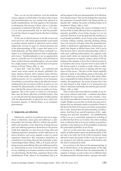Thus, we can say that medicine, even the medicine of pain, appears as irreducible to the physicality of pain and psychotherapies are not exempt from physical or bodily manifestations, for both appeal to the humanity or inhumanity that are part of them, that is, to the phenomenality of subjective life (Gély, 2012, p. 177), since it is in such phenomenality that we find the possibility and the refusal of supporting the life that is dealing with itself.

At the root of clinical practice is the life of each and every one of us; a life whose phenomenality is processed in another manner instead of objectivity and in which subjectivity recovers its space in clinical practices and in the phenomenology of life. A space that opens to interdisciplinarity and that Michel Henry eventually recognize as an indispensable practice both to philosophy and science: "Interdisciplinarity is not an opportunistic term or a merciful vow, it is the daily work and bread of those, medical doctors and philosophers, who are united by a single purpose: to bring a sick life back to its power and joy of living" (Henry, 2001, p. 142).

A space that – after his death – we continued and whose most recent results are already published (Antúnez, Martins, Ferreira, 2014; Antúnez, Safra, Ferreira, 2014). In these works, we show that sensitivity is part of medical practice, for it is constitutive of our humanity. Nevertheless, as sensitivity refers to the affective essence resulting from the occurrence of life in us and as us, it is towards the phenomenality of this essence in articulation with the life sciences that now we guide our investigations. This is the context in which we will present, then, now the theme *affectivity and hallucination*. That is, we will articulate the phenomenality of hallucination with the phenomenality of affectivity from which hallucination appears, in Michel Henry, as an exemplary phenomenon.

#### **3. Subjectivity and affectivity**

Subjectivity, seized in its positivity and not in opposition to objectivity, opens pain and suffering to a phenomenality that becomes effective without any predictability and, therefore, of any objectivity or being, because pain and suffering experience themselves in the process of life that originally we only know by living. Pain and suffering experience themselves in life's affections in us and as ourselves, such as joy, anguish, a color or a sound experience themselves: they experience themselves as constitutive of our being. Because the materiality or phenomenological fabric (Henry, 1990, p. 6) of pain and suffering are pain and suffering. Pain and suffering install in us, restructuring us even in the deconstruction of what we are, enabling us to recreate ourselves even from what we call sickening. We feel them, experience them in this establishment of life, taken in its foundations that is itself its support in the *pure* phenomenality of its affection. Or in Henrian terms: "Pure are the feelings that come from the experience of oneself which is the being and life, an absolute life", adding "the purity of feeling resides in its foundation" (Henry, 1963, p. 843).

Now in Michel Henry the *essence* of feeling is the affection of life in itself; affection that we experience as elementary possibility of our living, because in it we are and exist. However, if we all agree that life installs in us as primordial possibility of our living in the modalities of seeing, walking, wanting, rejecting, thinking, feeling, since not everyone will agree when this primordial possibility is attributed to apprehension, hallucination, anguish, fear, despair, as Michel Henry does. And it can be done because that is what the phenomenology of life reveals: pain, suffering, hallucination, fear, anguish, color, sound, smell, desire are emotional tonalities of the life that we experience as impulse, instinct, desire of life appealing to life. Impulse or drive that in Henrian terms also translates into excess of power lived in each mode of life. Excess which is a burden in itself, which is suffering, because this drive leaves us dealing with the experience of this excess: "The force of that which originally adhered to itself, in the edifying union of the being, the force of affectivity and feeling, this is that which suffering is responsible for before being the weight of its own tonality, the supplement, the excess of power that it lets out and releases as that which in it is permanent even when it culminates and breaks into extreme pain and sob" (Henry, 1963, p. 840).

Then we have that every affective tonality of our living is pure cohesion with itself – a cohesion that allows the identity of every tonality – it is also a burden. A burden all the more difficult to bear the more excessive is its weight. Weight or excess that can break into pain and solutions that can ultimately render us powerless. Power of life that in the limit of its excess can render us powerless; this is what characterizes the phenomenality of hallucination. And thus if any and all experience of life – sight, hearing, love and hate, perception – are establishments of life in us, as us, essentially experienced as feeling of an affection that drives us to action, the action resulting from an affection that in its excess renders us powerless, similarly, it also deprives us of the possibility of enjoying this primordial possibility of our living.

And it is in this sense that once again the phenomenality of hallucination opens the phenomenality of life not only to its truth, but to the truth of ourselves: being allowed to enjoy the powers of life or not; the same is to say moving in and with the essence of life itself so that life itself is enhanced by itself.

Let us return to the theses of the phenomenology of life in Michel Henry: in the phenomenality of life sight or hearing are no different from the phenomenality of anguish or despair, as well as they are no different from the phenomenality of hallucination. Apropos, the hallu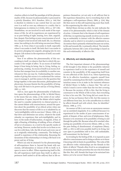cination collects in itself the paradigm of all the phenomenality of life, because its phenomenality is processed in a priority (Kanabus, 2011; Kanabus, 2014, p. 144) that is absolute in relation to any control that we can exert over it as well as over any reference to a reality that is heterogeneous in relation to it (Gély, 2014, p. 107-136). Nonetheless, we are involved in each mode of the experience of life, for all its experiences are experienced by us as pure feeling of sight, hearing, love, hate, anguish, fear, despair. Pure feeling or pure consciousness of an affect. *Simple* to feel involved with itself, life, in a Henrian sense, has nothing to do with being unconscious (Henry, 1992, p. 4). Even when it succumbs to itself, especially when it succumbs to itself, life feels that it succumbs to its powers plunging into anguish, plunging into its own despair. Life sickens in the experience of itself, succumbing to itself.

Now if we address the phenomenality of this succumbing to itself, we observe that that to which life succumbs is the weight of affect. To an excess of itself that keeps it from being its being, that is, living, feeling, experiencing, creating. An excess of itself is an excess of affection that emerges from its availability to another one, whosoever this one may be. Understanding the various modes of giving this excess is to understand the various ways to manage it, and this seems to be the question that brings together, to the same discussion, philosophers and physicians, because therein lies the possibility of bringing a sick life back to its power and joy of living (Henry, 2001, p. 142).

And so, once again the phenomenality of hallucination opens the phenomenology of life, in Michel Henry, to the issues that are, today, at the center of our cultural questions. It opens, beyond the debate which implies the need to consider subjectivity in clinical practice, to the current debate with neurosciences, around the question about the possibility of an ethical action when one discovers that the essence of life in us is inhabited by an "arch-intelligibility with its own laws" (Henry, 1992, p. 6) that drive and determine our action, whatever the mode whereby we experience that arch-intelligibility and its laws: in the mode of hallucination, of anguish, of fear, of sight, of hearing, of thinking, of walking, of love, of hatred, of lust or of nuisance, in a word in the specific modes of our being. However, modes that involve us in them so we can live with them. Life, the life of each and every one of us is originally relationship, community. The feeling of oneself is experience of this relationship. Resuming the dynamism of this relationship is to bring a life back to its power and joy of living.

Which can only be attained if in the phenomenology of self-experience there is, beyond the break with narcissism, self-absorption or closure of life in itself, in it, space to move in affect. When experiencing itself in life, the self experiences itself more than itself; in affect experiences itself united to all the self(ves) that in life experience themselves; yet not only to all self(ves) that in life experience themselves, but to everything that in life undergoes a self-experience (Henry, 2004, p. 224). May life then move in this self-experiencing more than itself, in this experiencing the other in affect.

Michel Henry devises no ethic: he only indicates the extent of its phenomenality which is that of the domain of action. A domain that is the domain of self-experience of life that, in experiencing oneself, involves us in it, driving us undeniably to interact with the affective essence whereby and in which it is revealed or manifested in us. An essence that is primarily relational because our action, in life and towards life, is primarily ethical. The interdisciplinarity between life's sorts of knowledge is based on this arch-relationality of affective life.

## **4. Affectivity and interdisciplinarity**

The first important element of the phenomenology of life brought to this debate is the possibility inherent in experience itself or in the experience of oneself and consists in the possibility of life supporting itself from its own affection of life. Each of us, when experiencing life in its affective foundation, supports oneself from oneself by sustaining from life itself. A possibility whose intuition seems to be at stake in the insistent reference of Michel Henry to Kafka: a chance that "the soil on which I stand is never wider than the two feet covering it. Because the mystery of life is this: that the living is coextensive to the Whole of life in him, that everything in him is his own life. The living did not create his essence, he has an Essence that is life, but this essence is not different from him, he is the autoaffection in which he affects himself and with which, thus, he identifies" (Henry, 1990, p. 177).

An essence of life is not even an anonymous essence nor an unrelated singularity. It is a selfhood because it is experienced in the modes of pure consciousness of anguish, of despair, of fear, and even of helplessness. Helplessness is its awareness of its possibility of being in and through the pathic life. Because when all is wrecked, eliminating any possibility of recovery (Henry, 2002, p. 123), the pure feeling of abandonment, of emptiness (Henry, 2003, p. 291) is still even possible itself in its living, but now open to possibilities still to live, still unthinkable, still nonexistent: for the future!

In revealing by the feeling of life, it is exposed as pure affective consciousness and in doing so allows us to know it knowing with its limits its possibilities. The webs of life are affective webs: relationships are the threads in this fabric of affects! Threads often lived in an entanglement of emotions that render powerless the one who lives them like this. But, still, threads that hope to be entwined into fabrics yet to be woven! Desire threads!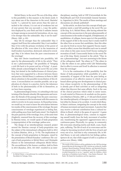Michel Henry, in the novel *The son of the King*, refers to this possibility in this manner; in the desire mode. It says about one of the characters in the novel, Mariette/ Lucile: "[...] pierced by more arrows than the saint attached to the column, it is not out of weakness but out of your powers that you succumb [...] may the perfection displayed by your flesh and that it radiates remain no longer among us excessively horrendous, oh yes, may it be stronger than the unbearable. May it not be mad!" (Henry, 1981, p. 65).

May life be stronger than the unbearable! May it support itself from this unbearable! May it not madden! May it live with the primary revelation of the power of the affection of life, even when it in the immersion of itself renders it powerless, destroyed, reduced to wreckage! May it be reborn from the pure consciousness of the wreckage!

May she! Desire transformed into possibility, left open by the phenomenality of life in the article "They in me: a phenomenology": the possibility of "bringing a sick life back to its power and joy of living". A possibility already acknowledged in the novel *The son of the king*, but denied in the ineffectiveness of clinical practices that were supported by a divorce between theory and practice. Michel Henry's conference in Porto in 2001 draws attention to the possible reconciliation of this divorce. A reconciliation we consider possible, not as application of a theory to a practice, but by the inherence of both in the phenomenality of life in themselves, as we have been exposing.

In phenomenological terms, it is attending to the (un) twining of the threads whereby life regenerates and recreates: the threads of the passage from the pure consciousness of an essence to the involvement with this essence in order to revolve in its same essence. In Husserlian terms, we would say we want to know the articulation between two modes of the consciousness of the wreckage: the pure consciousness of wreckage experienced as feeling that, *while* pulling away from itself (ante-simul / *Vor-Zugleich*) the pure passivity of the wreckage, lives, at the same time (Zugleich), renewed from the recovery of this wreckage. In Henrian terms, we would speak of body-propriation (*corpspropriation*) of the wreckage: pathos-avec.

The design of an interdisciplinary research project around the Henrian concept of body-propriation was the subject of the international colloquium held in 2012 in Lisbon (Martins, 2014, p. 73-76). The implications of the concept of body-propriation in therapies, raised by the presentation of Benoît Kanabus' conference *The concept of body-propriation in Michel Henry and Christophe Dejours* in the international colloquium *Michel Henry: The unconditional of the human condition*, held in Porto in 2013 (Kanabus, 2014, 101-103)<sup>4</sup>, resulted in an inter-

<sup>4</sup> In Michel Henry: o incondicional da condição humana, Revista da Faculdade de Teologia, Porto.

disciplinary meeting, held at USP (Universidade de São Paulo/Brazil) and UGS (Universidade General Sarmiento, Argentina) in 2014. The results of these meetings and discussions are already published<sup>5</sup>.

In this article, we show how this concept of body-propriation meets a need left pending in the novel *The son of the king*. In it, Michel Henry, after having referred the concept of the unconscious to the pure phenomenality of consciousness in the modes of anguish, of helplessness, of annihilation, of collapse, leaves open in it the possibility of the support of life to the excess that it creates itself! If the other lives as excess that annihilates, then this other can also be lived as excess that supports! Excess experienced as affect; excess that identifies each one in oneself even when in this same excess lived! Excess waiting for recreation of itself. Unsuccessful desire in the novel *The son of the king*. Desire resumed in the article "They in me: a phenomenology", but now answering to the theme of the colloquium itself: "the others in I"! The others in I, like the others in me: pathos-with! Life! Relationship that in affect is woven and lived! In affection is renewed from the wreckage!

It is in the continuation of this possibility that the theme of body-propriation while possibility of a phenomenality of support of life from the pure feeling or consciousness of an affective essence to which we are bound allows giving new developments to clinical practices whose receptivity to the phenomenology of life is already part of their activities as well as integrating others that discover that same affinity. Such is the case of the clinical practices which relate to motor issues. A work started in *Primavera de saudade em fios quatrozero* (Martins & Teixeira, 2007, p. 17-28) and which aimed the interdisciplinarity of therapies to recover a mobility lost either by disease or by accident. A work which Renato Mauri continues, integrating the concept in the study of human movement and sport movement. A practice that may receive a relevant contribution from a cultural tradition in Brazil, which is the game of *capoeira*<sup>6</sup> . A game that, in phenomenological terms, consists in supporting oneself totally from the body movement of another one, transforming the opponent's aggressiveness into a continuous game. Physically, in a group, in community life overcomes shunting inertia and death, scam, fraud, pain, suffering. The life of each of us overcomes and develops by becoming involved with the lives of each and every one of us. And that is why community life, in Michel Henry, is not only subjectivity but feeling: pathos, épreuve de soi, that while support of self is co-pathos or pathos-avec (Henry, 1990).

<sup>5</sup> The results of this research will be published in the USP Psychology Journal (Revista de Psicologia da USP). Articles are written by Andrés Antúnez; Benoît Kanabus, Florinda Martins, and Maristela Ferreira.

The phenomenology of life is nothing apart of life: its potentialities revealed themselves to us in a "capoeira" party for children, which took place at Fondation Lycée Pasteur - Casa Santos Dumond - São Paulo. We thank the foundation and the organizers.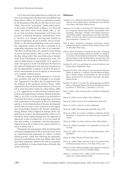It is in the web of this pathos that we collect the very laws of our living and with them their possibilities and limits (Henry, 1992, p. 6). Limits or constraints revealed by the dynamism of the affective life that we live in our "flesh"; that we live "in the flesh". Limits within which, in the words of Adélia Prado, *nothing is ever dead* and where *what seems static awaits* (Prado, 2001, p. 19). To say that Jacqueline Santoantonio well knows her practices of Painting Workshop (Santoantonio, 2014, p. 253-272). In it, energies that long lurk, fearful, for means of expression, are set in motion. And as in Kandinsky, in the Painting Workshop colors also express this originating motion of life that is essential to all originating expression that the work of art embodies. Therefore, in Michel Henry the narrative of the feeling of sun on the back (Henry, 1981, p. 105), in *The son of the king*, brings with it the same dimension of eternity of the work of Kandinsky or a Renaissance work. The truth of hallucination is impossibility of its opacity to itself. The opacity to itself is its falsehood. But these are the truth and falsehood of each and every experience of life: the impossibility of opacity to itself in the pure affective consciousness versus its opacity as unconscious as its visibility without essence.

With the concept of body-propriation, it is the human condition that must be re-thought in its foundation. Supported by the affect that is experienced from the outburst of the innermost emotion (Henry, 1996), supported by that which the observation of an X-ray can tell us what from there results for a flesh (Henry, 2000, p. 317), supported by an affection that translates into a protein with implications to memory (Teixeira & Martins, 2006, p. 321-233), or in the creation of an enriched environment that favors a certain morphology of neurons with implications to the quality of life of an Alzheimer patient or in the determination of human development periods that are more or less conducive to the appearance of psychiatric disorders (Yu, Teixeira, Mahadevia, Huang, Balsam, Mann, Gingrich & Ansorge, 2014), supported by its essence, the phenomenality of life, as evidenced by itself, enables passing from the approach of objectivity to that of subjectivity so in it are found the laws that revolve it completely: with the phenomenological reversal life is reborn in its essence and the essence is reborn with it.

Therapeutic Accompaniment, while monitoring of the emotional entanglements of life in each and every one of us, could become the expression of a culture, in which clinical practice, rather than following the representations and symbolizations of the real, follows that which gives them expression: affective life with its constraints and possibilities in loving intertwining of threads that weave each living.

### **References**

- Antúnez, A. E. A; Martins, F. & Ferreira, M. V. (2014). *Fenomenologia da vida de Michel Henry: interlocuções entre filosofia e psicologia*. São Paulo: Editora Escuta.
- Antúnez, A. E. A; Safra, G. & Ferreira, M. V. (2014) (Orgs.). *Anais do I Congresso Internacional Pessoa e Comunidade: Fenomenologia, Psicologia e Teologia e III Colóquio Internacional de Humanidades e Humanização em Saúde*. São Paulo: IPUSP. Acessível em: http://www.bvs-psi.org.br/php/level. php?component=17&item=137
- Gély, R. (2012). *Imaginaire, perception, incarnation: exercice phénoménologique à partir de Merleau-Ponty, Henry et Sartre*. Bruxelles: Peter Lang.
- Gély, R. (2014). Sofrimento e atenção social à vida elementos para uma fenomenologia radical do cuidado. In Andrés E. A. Antúnez, Florinda Martins & Maristela V. Ferreira (Orgs). *Fenomenologia da vida de Michel Henry: interlocuções entre filosofia e psicologia* (p. 107-136). São Paulo: Editora Escuta.
- Kanabus, B. (2011). *La généalogie du concept d'Archi-soi chez Michel Henry*, Hildesheim, Olms.
- Kanabus, B. (2014). Vida e Arqui-si: o nascimento da relacionalidade. In Andrés E. A. Antúnez, Florinda Martins & Maristela V. Ferreira (Orgs). *Fenomenologia da vida de Michel Henry: interlocuções entre filosofia e psicologia*. São Paulo: Editora Escuta.
- Kanabus, B. (2014). O conceito de corpopropriação em Michel Henry e Christophe Dejours. *Revista da Faculdade de Teologia* (Porto), T. XXXV Fasc. 2, December, p. 101-113.
- Kant, I. (1985). *Crítica da Razão Pura*, A750/B778 (Original de 1781).
- Henry, M. (1954). *Le jeune officer*. Paris: Gallimard.
- Henry, M. (1963). *L'essence de la manifestation*. Paris: PUF.
- Henry, M. (1981). *Le fils du roi*. Paris: Gallimard.
- Henry, M. (1990). *Phénoménologie matérielle*. Paris: PUF.
- Henry, M. (1992). *Les sciences et l'éthique*, conférence de Nice Décembre. In Disponível em http://alor.univ-montp3.fr/ serpub.
- Henry, M. (1996). *Le cadaver indiscret*. Paris: Albin Michel.
- Henry, M. (2000). *Incarnation: une philosophie de chair*. Paris: Seuil.
- Henry, M. (2001). *Eux en moi: une phénoménologie*. Porto, IPATIMUP,
- Henry, M. (2002). *Paroles du Christ*. Paris: Seuil.
- Henry, M. (2004). Débat autor de l'oeuvre de Michel Henry. In *Phénoménologie de la vie*, T. IV, Paris: PUF, p. 224.
- Henry, M. (1991). Phénoménologie et psychanalyse. In *Psychiatrie et existence* (p. 95-107), Grenoble: Millon.
- Martins, F. & Teixeira, M. C. (2007). *Tecido de afectos em fios quatro-zero*. Lisboa: Edições Colibri.